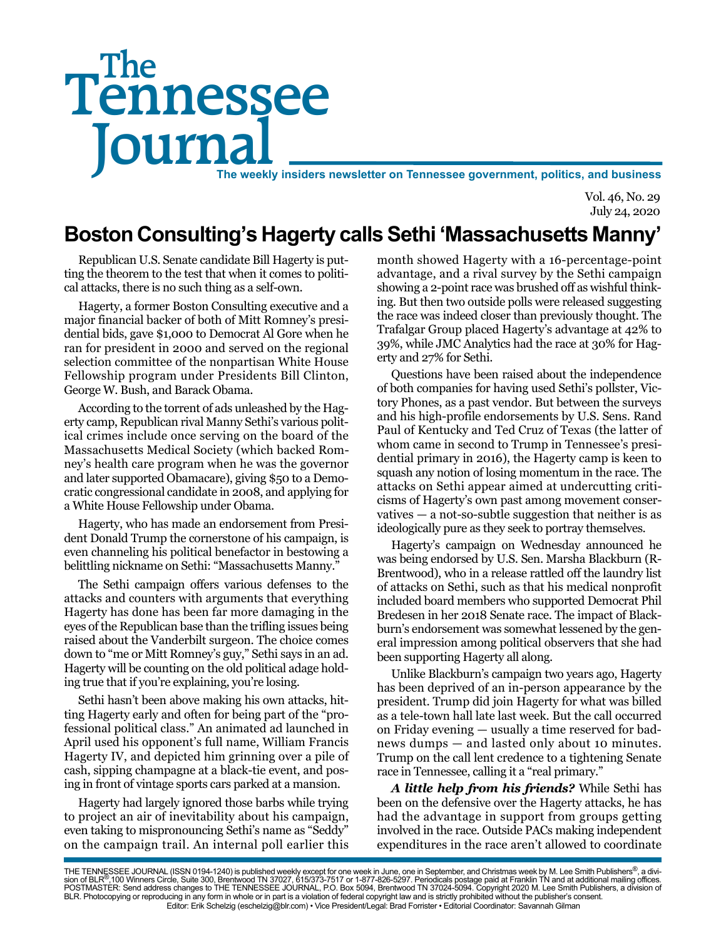# Tennessee **Journal** The weekly insiders newsletter on Tennessee government, politics, and business The

Vol. 46, No. 29 July 24, 2020

## **Boston Consulting's Hagerty calls Sethi 'Massachusetts Manny'**

Republican U.S. Senate candidate Bill Hagerty is putting the theorem to the test that when it comes to political attacks, there is no such thing as a self-own.

Hagerty, a former Boston Consulting executive and a major financial backer of both of Mitt Romney's presidential bids, gave \$1,000 to Democrat Al Gore when he ran for president in 2000 and served on the regional selection committee of the nonpartisan White House Fellowship program under Presidents Bill Clinton, George W. Bush, and Barack Obama.

According to the torrent of ads unleashed by the Hagerty camp, Republican rival Manny Sethi's various political crimes include once serving on the board of the Massachusetts Medical Society (which backed Romney's health care program when he was the governor and later supported Obamacare), giving \$50 to a Democratic congressional candidate in 2008, and applying for a White House Fellowship under Obama.

Hagerty, who has made an endorsement from President Donald Trump the cornerstone of his campaign, is even channeling his political benefactor in bestowing a belittling nickname on Sethi: "Massachusetts Manny."

The Sethi campaign offers various defenses to the attacks and counters with arguments that everything Hagerty has done has been far more damaging in the eyes of the Republican base than the trifling issues being raised about the Vanderbilt surgeon. The choice comes down to "me or Mitt Romney's guy," Sethi says in an ad. Hagerty will be counting on the old political adage holding true that if you're explaining, you're losing.

Sethi hasn't been above making his own attacks, hitting Hagerty early and often for being part of the "professional political class." An animated ad launched in April used his opponent's full name, William Francis Hagerty IV, and depicted him grinning over a pile of cash, sipping champagne at a black-tie event, and posing in front of vintage sports cars parked at a mansion.

Hagerty had largely ignored those barbs while trying to project an air of inevitability about his campaign, even taking to mispronouncing Sethi's name as "Seddy" on the campaign trail. An internal poll earlier this

month showed Hagerty with a 16-percentage-point advantage, and a rival survey by the Sethi campaign showing a 2-point race was brushed off as wishful thinking. But then two outside polls were released suggesting the race was indeed closer than previously thought. The Trafalgar Group placed Hagerty's advantage at 42% to 39%, while JMC Analytics had the race at 30% for Hagerty and 27% for Sethi.

Questions have been raised about the independence of both companies for having used Sethi's pollster, Victory Phones, as a past vendor. But between the surveys and his high-profile endorsements by U.S. Sens. Rand Paul of Kentucky and Ted Cruz of Texas (the latter of whom came in second to Trump in Tennessee's presidential primary in 2016), the Hagerty camp is keen to squash any notion of losing momentum in the race. The attacks on Sethi appear aimed at undercutting criticisms of Hagerty's own past among movement conservatives — a not-so-subtle suggestion that neither is as ideologically pure as they seek to portray themselves.

Hagerty's campaign on Wednesday announced he was being endorsed by U.S. Sen. Marsha Blackburn (R-Brentwood), who in a release rattled off the laundry list of attacks on Sethi, such as that his medical nonprofit included board members who supported Democrat Phil Bredesen in her 2018 Senate race. The impact of Blackburn's endorsement was somewhat lessened by the general impression among political observers that she had been supporting Hagerty all along.

Unlike Blackburn's campaign two years ago, Hagerty has been deprived of an in-person appearance by the president. Trump did join Hagerty for what was billed as a tele-town hall late last week. But the call occurred on Friday evening — usually a time reserved for badnews dumps — and lasted only about 10 minutes. Trump on the call lent credence to a tightening Senate race in Tennessee, calling it a "real primary."

*A little help from his friends?* While Sethi has been on the defensive over the Hagerty attacks, he has had the advantage in support from groups getting involved in the race. Outside PACs making independent expenditures in the race aren't allowed to coordinate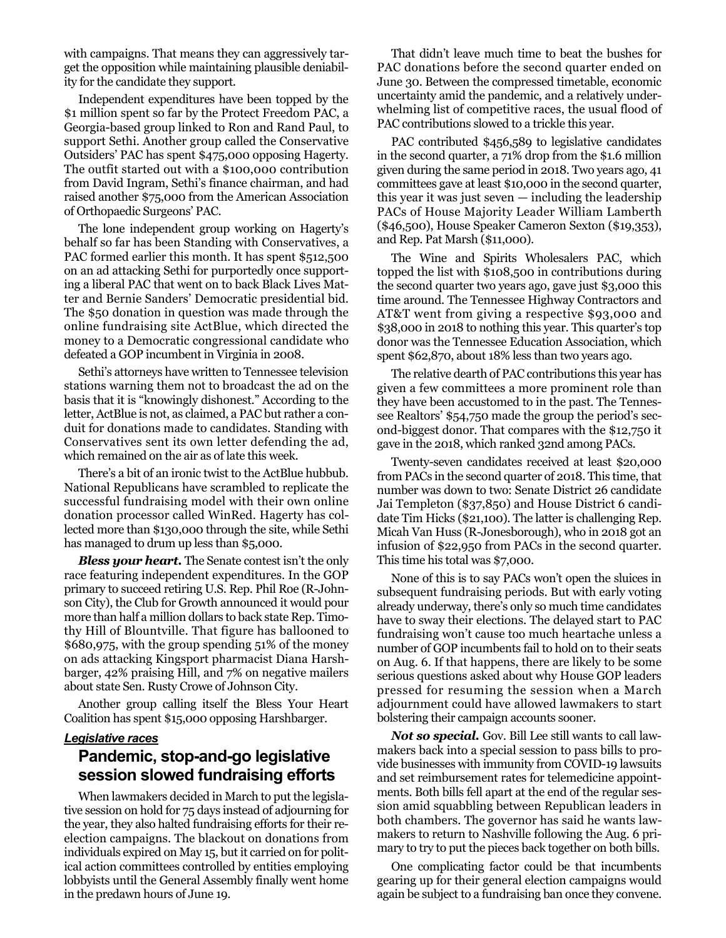with campaigns. That means they can aggressively target the opposition while maintaining plausible deniability for the candidate they support.

Independent expenditures have been topped by the \$1 million spent so far by the Protect Freedom PAC, a Georgia-based group linked to Ron and Rand Paul, to support Sethi. Another group called the Conservative Outsiders' PAC has spent \$475,000 opposing Hagerty. The outfit started out with a \$100,000 contribution from David Ingram, Sethi's finance chairman, and had raised another \$75,000 from the American Association of Orthopaedic Surgeons' PAC.

The lone independent group working on Hagerty's behalf so far has been Standing with Conservatives, a PAC formed earlier this month. It has spent \$512,500 on an ad attacking Sethi for purportedly once supporting a liberal PAC that went on to back Black Lives Matter and Bernie Sanders' Democratic presidential bid. The \$50 donation in question was made through the online fundraising site ActBlue, which directed the money to a Democratic congressional candidate who defeated a GOP incumbent in Virginia in 2008.

Sethi's attorneys have written to Tennessee television stations warning them not to broadcast the ad on the basis that it is "knowingly dishonest." According to the letter, ActBlue is not, as claimed, a PAC but rather a conduit for donations made to candidates. Standing with Conservatives sent its own letter defending the ad, which remained on the air as of late this week.

There's a bit of an ironic twist to the ActBlue hubbub. National Republicans have scrambled to replicate the successful fundraising model with their own online donation processor called WinRed. Hagerty has collected more than \$130,000 through the site, while Sethi has managed to drum up less than \$5,000.

*Bless your heart.* The Senate contest isn't the only race featuring independent expenditures. In the GOP primary to succeed retiring U.S. Rep. Phil Roe (R-Johnson City), the Club for Growth announced it would pour more than half a million dollars to back state Rep. Timothy Hill of Blountville. That figure has ballooned to \$680,975, with the group spending 51% of the money on ads attacking Kingsport pharmacist Diana Harshbarger, 42% praising Hill, and 7% on negative mailers about state Sen. Rusty Crowe of Johnson City.

Another group calling itself the Bless Your Heart Coalition has spent \$15,000 opposing Harshbarger.

#### *Legislative races*

#### **Pandemic, stop-and-go legislative session slowed fundraising efforts**

When lawmakers decided in March to put the legislative session on hold for 75 days instead of adjourning for the year, they also halted fundraising efforts for their reelection campaigns. The blackout on donations from individuals expired on May 15, but it carried on for political action committees controlled by entities employing lobbyists until the General Assembly finally went home in the predawn hours of June 19.

That didn't leave much time to beat the bushes for PAC donations before the second quarter ended on June 30. Between the compressed timetable, economic uncertainty amid the pandemic, and a relatively underwhelming list of competitive races, the usual flood of PAC contributions slowed to a trickle this year.

PAC contributed \$456,589 to legislative candidates in the second quarter, a 71% drop from the \$1.6 million given during the same period in 2018. Two years ago, 41 committees gave at least \$10,000 in the second quarter, this year it was just seven — including the leadership PACs of House Majority Leader William Lamberth (\$46,500), House Speaker Cameron Sexton (\$19,353), and Rep. Pat Marsh (\$11,000).

The Wine and Spirits Wholesalers PAC, which topped the list with \$108,500 in contributions during the second quarter two years ago, gave just \$3,000 this time around. The Tennessee Highway Contractors and AT&T went from giving a respective \$93,000 and \$38,000 in 2018 to nothing this year. This quarter's top donor was the Tennessee Education Association, which spent \$62,870, about 18% less than two years ago.

The relative dearth of PAC contributions this year has given a few committees a more prominent role than they have been accustomed to in the past. The Tennessee Realtors' \$54,750 made the group the period's second-biggest donor. That compares with the \$12,750 it gave in the 2018, which ranked 32nd among PACs.

Twenty-seven candidates received at least \$20,000 from PACs in the second quarter of 2018. This time, that number was down to two: Senate District 26 candidate Jai Templeton (\$37,850) and House District 6 candidate Tim Hicks (\$21,100). The latter is challenging Rep. Micah Van Huss (R-Jonesborough), who in 2018 got an infusion of \$22,950 from PACs in the second quarter. This time his total was \$7,000.

None of this is to say PACs won't open the sluices in subsequent fundraising periods. But with early voting already underway, there's only so much time candidates have to sway their elections. The delayed start to PAC fundraising won't cause too much heartache unless a number of GOP incumbents fail to hold on to their seats on Aug. 6. If that happens, there are likely to be some serious questions asked about why House GOP leaders pressed for resuming the session when a March adjournment could have allowed lawmakers to start bolstering their campaign accounts sooner.

*Not so special.* Gov. Bill Lee still wants to call lawmakers back into a special session to pass bills to provide businesses with immunity from COVID-19 lawsuits and set reimbursement rates for telemedicine appointments. Both bills fell apart at the end of the regular session amid squabbling between Republican leaders in both chambers. The governor has said he wants lawmakers to return to Nashville following the Aug. 6 primary to try to put the pieces back together on both bills.

One complicating factor could be that incumbents gearing up for their general election campaigns would again be subject to a fundraising ban once they convene.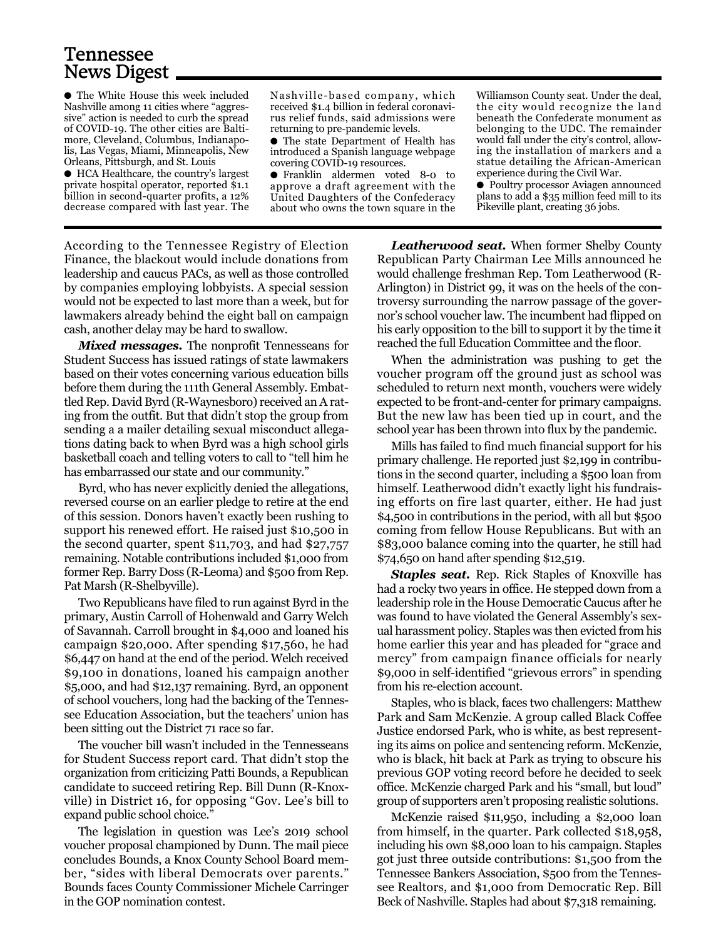### Tennessee News Digest

● The White House this week included Nashville among 11 cities where "aggressive" action is needed to curb the spread of COVID-19. The other cities are Baltimore, Cleveland, Columbus, Indianapolis, Las Vegas, Miami, Minneapolis, New Orleans, Pittsburgh, and St. Louis

● HCA Healthcare, the country's largest private hospital operator, reported \$1.1 billion in second-quarter profits, a 12% decrease compared with last year. The Nashville-based company, which received \$1.4 billion in federal coronavirus relief funds, said admissions were returning to pre-pandemic levels.

● The state Department of Health has introduced a Spanish language webpage covering COVID-19 resources.

● Franklin aldermen voted 8-0 to approve a draft agreement with the United Daughters of the Confederacy about who owns the town square in the

Williamson County seat. Under the deal, the city would recognize the land beneath the Confederate monument as belonging to the UDC. The remainder would fall under the city's control, allowing the installation of markers and a statue detailing the African-American experience during the Civil War.

● Poultry processor Aviagen announced plans to add a \$35 million feed mill to its Pikeville plant, creating 36 jobs.

According to the Tennessee Registry of Election Finance, the blackout would include donations from leadership and caucus PACs, as well as those controlled by companies employing lobbyists. A special session would not be expected to last more than a week, but for lawmakers already behind the eight ball on campaign cash, another delay may be hard to swallow.

*Mixed messages.* The nonprofit Tennesseans for Student Success has issued ratings of state lawmakers based on their votes concerning various education bills before them during the 111th General Assembly. Embattled Rep. David Byrd (R-Waynesboro) received an A rating from the outfit. But that didn't stop the group from sending a a mailer detailing sexual misconduct allegations dating back to when Byrd was a high school girls basketball coach and telling voters to call to "tell him he has embarrassed our state and our community."

Byrd, who has never explicitly denied the allegations, reversed course on an earlier pledge to retire at the end of this session. Donors haven't exactly been rushing to support his renewed effort. He raised just \$10,500 in the second quarter, spent \$11,703, and had \$27,757 remaining. Notable contributions included \$1,000 from former Rep. Barry Doss (R-Leoma) and \$500 from Rep. Pat Marsh (R-Shelbyville).

Two Republicans have filed to run against Byrd in the primary, Austin Carroll of Hohenwald and Garry Welch of Savannah. Carroll brought in \$4,000 and loaned his campaign \$20,000. After spending \$17,560, he had \$6,447 on hand at the end of the period. Welch received \$9,100 in donations, loaned his campaign another \$5,000, and had \$12,137 remaining. Byrd, an opponent of school vouchers, long had the backing of the Tennessee Education Association, but the teachers' union has been sitting out the District 71 race so far.

The voucher bill wasn't included in the Tennesseans for Student Success report card. That didn't stop the organization from criticizing Patti Bounds, a Republican candidate to succeed retiring Rep. Bill Dunn (R-Knoxville) in District 16, for opposing "Gov. Lee's bill to expand public school choice."

The legislation in question was Lee's 2019 school voucher proposal championed by Dunn. The mail piece concludes Bounds, a Knox County School Board member, "sides with liberal Democrats over parents." Bounds faces County Commissioner Michele Carringer in the GOP nomination contest.

*Leatherwood seat.* When former Shelby County Republican Party Chairman Lee Mills announced he would challenge freshman Rep. Tom Leatherwood (R-Arlington) in District 99, it was on the heels of the controversy surrounding the narrow passage of the governor's school voucher law. The incumbent had flipped on his early opposition to the bill to support it by the time it reached the full Education Committee and the floor.

When the administration was pushing to get the voucher program off the ground just as school was scheduled to return next month, vouchers were widely expected to be front-and-center for primary campaigns. But the new law has been tied up in court, and the school year has been thrown into flux by the pandemic.

Mills has failed to find much financial support for his primary challenge. He reported just \$2,199 in contributions in the second quarter, including a \$500 loan from himself. Leatherwood didn't exactly light his fundraising efforts on fire last quarter, either. He had just \$4,500 in contributions in the period, with all but \$500 coming from fellow House Republicans. But with an \$83,000 balance coming into the quarter, he still had \$74,650 on hand after spending \$12,519.

*Staples seat.* Rep. Rick Staples of Knoxville has had a rocky two years in office. He stepped down from a leadership role in the House Democratic Caucus after he was found to have violated the General Assembly's sexual harassment policy. Staples was then evicted from his home earlier this year and has pleaded for "grace and mercy" from campaign finance officials for nearly \$9,000 in self-identified "grievous errors" in spending from his re-election account.

Staples, who is black, faces two challengers: Matthew Park and Sam McKenzie. A group called Black Coffee Justice endorsed Park, who is white, as best representing its aims on police and sentencing reform. McKenzie, who is black, hit back at Park as trying to obscure his previous GOP voting record before he decided to seek office. McKenzie charged Park and his "small, but loud" group of supporters aren't proposing realistic solutions.

McKenzie raised \$11,950, including a \$2,000 loan from himself, in the quarter. Park collected \$18,958, including his own \$8,000 loan to his campaign. Staples got just three outside contributions: \$1,500 from the Tennessee Bankers Association, \$500 from the Tennessee Realtors, and \$1,000 from Democratic Rep. Bill Beck of Nashville. Staples had about \$7,318 remaining.